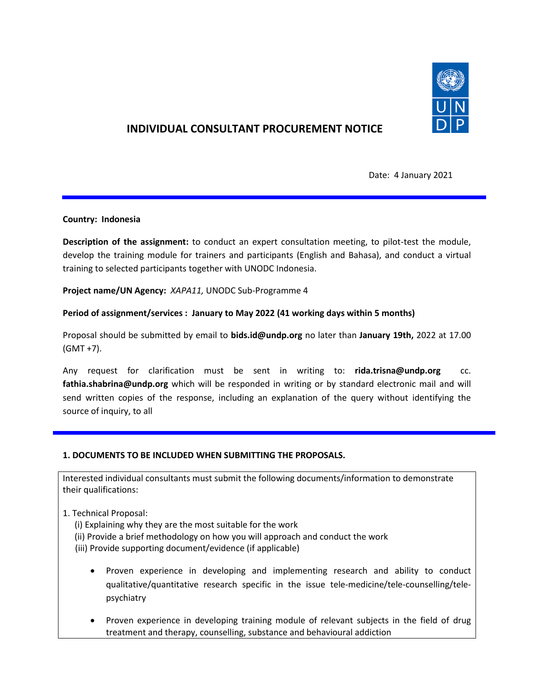

# **INDIVIDUAL CONSULTANT PROCUREMENT NOTICE**

Date: 4 January 2021

# **Country: Indonesia**

**Description of the assignment:** to conduct an expert consultation meeting, to pilot-test the module, develop the training module for trainers and participants (English and Bahasa), and conduct a virtual training to selected participants together with UNODC Indonesia.

#### **Project name/UN Agency:** *XAPA11,* UNODC Sub-Programme 4

# **Period of assignment/services : January to May 2022 (41 working days within 5 months)**

Proposal should be submitted by email to **bids.id@undp.org** no later than **January 19th,** 2022 at 17.00 (GMT +7).

Any request for clarification must be sent in writing to: **rida.trisna@undp.org** cc. **[fathia.shabrina@undp.org](mailto:fathia.shabrina@undp.org)** which will be responded in writing or by standard electronic mail and will send written copies of the response, including an explanation of the query without identifying the source of inquiry, to all

# **1. DOCUMENTS TO BE INCLUDED WHEN SUBMITTING THE PROPOSALS.**

Interested individual consultants must submit the following documents/information to demonstrate their qualifications:

# 1. Technical Proposal:

(i) Explaining why they are the most suitable for the work (ii) Provide a brief methodology on how you will approach and conduct the work (iii) Provide supporting document/evidence (if applicable)

- Proven experience in developing and implementing research and ability to conduct qualitative/quantitative research specific in the issue tele-medicine/tele-counselling/telepsychiatry
- Proven experience in developing training module of relevant subjects in the field of drug treatment and therapy, counselling, substance and behavioural addiction